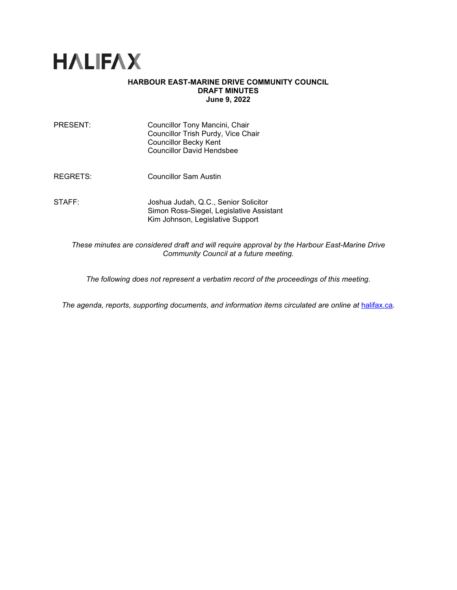

## **HARBOUR EAST-MARINE DRIVE COMMUNITY COUNCIL DRAFT MINUTES June 9, 2022**

| PRESENT: | Councillor Tony Mancini, Chair<br>Councillor Trish Purdy, Vice Chair<br><b>Councillor Becky Kent</b><br><b>Councillor David Hendsbee</b> |
|----------|------------------------------------------------------------------------------------------------------------------------------------------|
| REGRETS: | Councillor Sam Austin                                                                                                                    |
| STAFF:   | Joshua Judah, Q.C., Senior Solicitor<br>Simon Ross-Siegel, Legislative Assistant<br>Kim Johnson, Legislative Support                     |
|          |                                                                                                                                          |

*These minutes are considered draft and will require approval by the Harbour East-Marine Drive Community Council at a future meeting.*

*The following does not represent a verbatim record of the proceedings of this meeting.*

The agenda, reports, supporting documents, and information items circulated are online at [halifax.ca](http://www.halifax.ca/).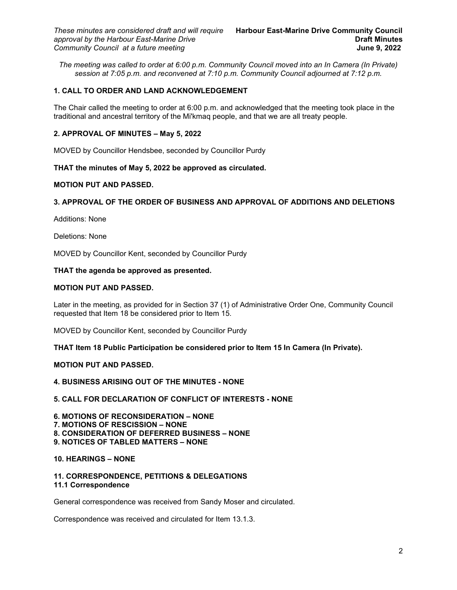*The meeting was called to order at 6:00 p.m. Community Council moved into an In Camera (In Private) session at 7:05 p.m. and reconvened at 7:10 p.m. Community Council adjourned at 7:12 p.m.*

## **1. CALL TO ORDER AND LAND ACKNOWLEDGEMENT**

The Chair called the meeting to order at 6:00 p.m. and acknowledged that the meeting took place in the traditional and ancestral territory of the Mi'kmaq people, and that we are all treaty people.

### **2. APPROVAL OF MINUTES – May 5, 2022**

MOVED by Councillor Hendsbee, seconded by Councillor Purdy

## **THAT the minutes of May 5, 2022 be approved as circulated.**

#### **MOTION PUT AND PASSED.**

# **3. APPROVAL OF THE ORDER OF BUSINESS AND APPROVAL OF ADDITIONS AND DELETIONS**

Additions: None

Deletions: None

MOVED by Councillor Kent, seconded by Councillor Purdy

#### **THAT the agenda be approved as presented.**

### **MOTION PUT AND PASSED.**

Later in the meeting, as provided for in Section 37 (1) of Administrative Order One, Community Council requested that Item 18 be considered prior to Item 15.

MOVED by Councillor Kent, seconded by Councillor Purdy

**THAT Item 18 Public Participation be considered prior to Item 15 In Camera (In Private).**

### **MOTION PUT AND PASSED.**

**4. BUSINESS ARISING OUT OF THE MINUTES - NONE**

#### **5. CALL FOR DECLARATION OF CONFLICT OF INTERESTS - NONE**

**6. MOTIONS OF RECONSIDERATION – NONE 7. MOTIONS OF RESCISSION – NONE 8. CONSIDERATION OF DEFERRED BUSINESS – NONE 9. NOTICES OF TABLED MATTERS – NONE**

### **10. HEARINGS – NONE**

#### **11. CORRESPONDENCE, PETITIONS & DELEGATIONS 11.1 Correspondence**

General correspondence was received from Sandy Moser and circulated.

Correspondence was received and circulated for Item 13.1.3.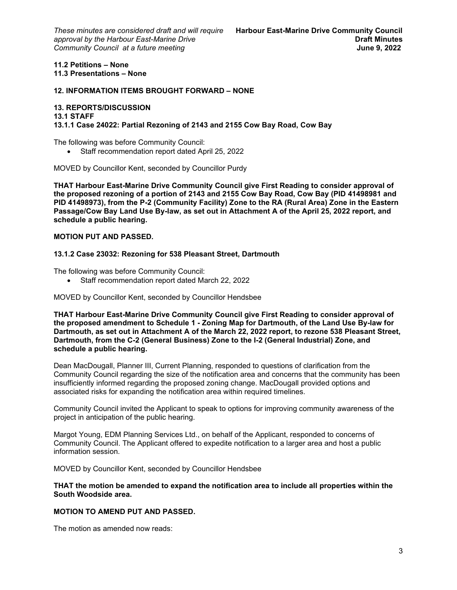#### **11.2 Petitions – None 11.3 Presentations – None**

#### **12. INFORMATION ITEMS BROUGHT FORWARD – NONE**

#### **13. REPORTS/DISCUSSION**

#### **13.1 STAFF**

**13.1.1 Case 24022: Partial Rezoning of 2143 and 2155 Cow Bay Road, Cow Bay**

The following was before Community Council:

• Staff recommendation report dated April 25, 2022

MOVED by Councillor Kent, seconded by Councillor Purdy

**THAT Harbour East-Marine Drive Community Council give First Reading to consider approval of the proposed rezoning of a portion of 2143 and 2155 Cow Bay Road, Cow Bay (PID 41498981 and PID 41498973), from the P-2 (Community Facility) Zone to the RA (Rural Area) Zone in the Eastern Passage/Cow Bay Land Use By-law, as set out in Attachment A of the April 25, 2022 report, and schedule a public hearing.**

### **MOTION PUT AND PASSED.**

#### **13.1.2 Case 23032: Rezoning for 538 Pleasant Street, Dartmouth**

The following was before Community Council:

• Staff recommendation report dated March 22, 2022

MOVED by Councillor Kent, seconded by Councillor Hendsbee

**THAT Harbour East-Marine Drive Community Council give First Reading to consider approval of the proposed amendment to Schedule 1 - Zoning Map for Dartmouth, of the Land Use By-law for Dartmouth, as set out in Attachment A of the March 22, 2022 report, to rezone 538 Pleasant Street, Dartmouth, from the C-2 (General Business) Zone to the I-2 (General Industrial) Zone, and schedule a public hearing.**

Dean MacDougall, Planner III, Current Planning, responded to questions of clarification from the Community Council regarding the size of the notification area and concerns that the community has been insufficiently informed regarding the proposed zoning change. MacDougall provided options and associated risks for expanding the notification area within required timelines.

Community Council invited the Applicant to speak to options for improving community awareness of the project in anticipation of the public hearing.

Margot Young, EDM Planning Services Ltd., on behalf of the Applicant, responded to concerns of Community Council. The Applicant offered to expedite notification to a larger area and host a public information session.

MOVED by Councillor Kent, seconded by Councillor Hendsbee

**THAT the motion be amended to expand the notification area to include all properties within the South Woodside area.**

### **MOTION TO AMEND PUT AND PASSED.**

The motion as amended now reads: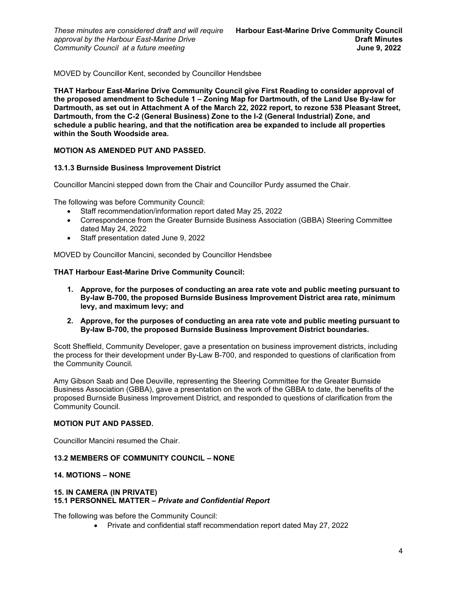MOVED by Councillor Kent, seconded by Councillor Hendsbee

**THAT Harbour East-Marine Drive Community Council give First Reading to consider approval of the proposed amendment to Schedule 1 – Zoning Map for Dartmouth, of the Land Use By-law for Dartmouth, as set out in Attachment A of the March 22, 2022 report, to rezone 538 Pleasant Street, Dartmouth, from the C-2 (General Business) Zone to the I-2 (General Industrial) Zone, and schedule a public hearing, and that the notification area be expanded to include all properties within the South Woodside area.**

## **MOTION AS AMENDED PUT AND PASSED.**

## **13.1.3 Burnside Business Improvement District**

Councillor Mancini stepped down from the Chair and Councillor Purdy assumed the Chair.

The following was before Community Council:

- Staff recommendation/information report dated May 25, 2022
- Correspondence from the Greater Burnside Business Association (GBBA) Steering Committee dated May 24, 2022
- Staff presentation dated June 9, 2022

MOVED by Councillor Mancini, seconded by Councillor Hendsbee

## **THAT Harbour East-Marine Drive Community Council:**

- **1. Approve, for the purposes of conducting an area rate vote and public meeting pursuant to By-law B-700, the proposed Burnside Business Improvement District area rate, minimum levy, and maximum levy; and**
- **2. Approve, for the purposes of conducting an area rate vote and public meeting pursuant to By-law B-700, the proposed Burnside Business Improvement District boundaries.**

Scott Sheffield, Community Developer, gave a presentation on business improvement districts, including the process for their development under By-Law B-700, and responded to questions of clarification from the Community Council*.*

Amy Gibson Saab and Dee Deuville, representing the Steering Committee for the Greater Burnside Business Association (GBBA), gave a presentation on the work of the GBBA to date, the benefits of the proposed Burnside Business Improvement District, and responded to questions of clarification from the Community Council.

## **MOTION PUT AND PASSED.**

Councillor Mancini resumed the Chair.

## **13.2 MEMBERS OF COMMUNITY COUNCIL – NONE**

# **14. MOTIONS – NONE**

### **15. IN CAMERA (IN PRIVATE) 15.1 PERSONNEL MATTER –** *Private and Confidential Report*

The following was before the Community Council:

• Private and confidential staff recommendation report dated May 27, 2022